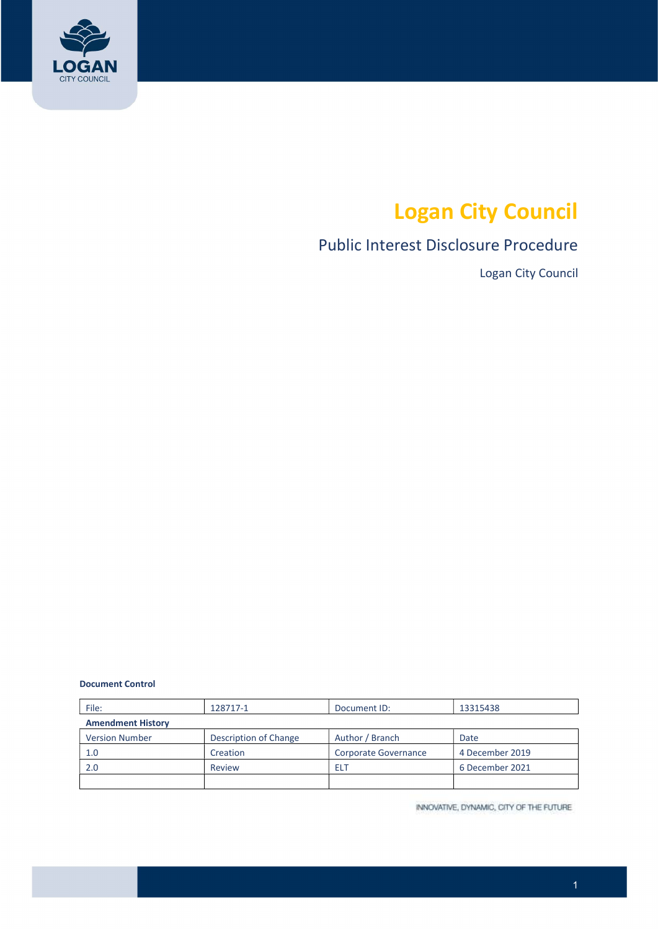

# Logan City Council

# Public Interest Disclosure Procedure

Logan City Council

#### Document Control

| File:                    | 128717-1              | Document ID:         | 13315438        |  |  |
|--------------------------|-----------------------|----------------------|-----------------|--|--|
| <b>Amendment History</b> |                       |                      |                 |  |  |
| <b>Version Number</b>    | Description of Change | Author / Branch      | Date            |  |  |
| 1.0                      | Creation              | Corporate Governance | 4 December 2019 |  |  |
| 2.0                      | Review                | ELT                  | 6 December 2021 |  |  |
|                          |                       |                      |                 |  |  |

INNOVATIVE, DYNAMIC, CITY OF THE FUTURE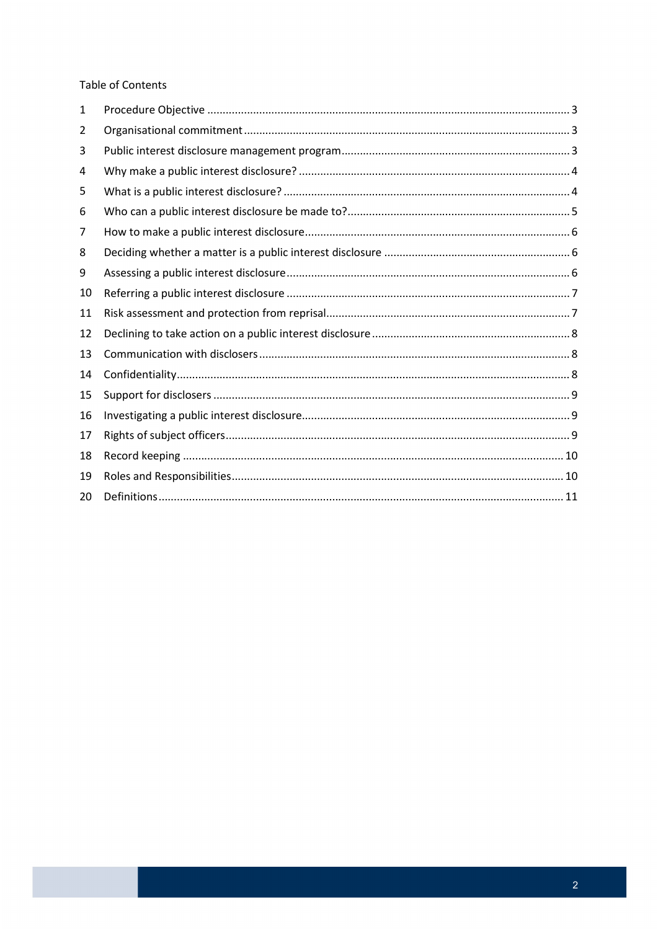#### **Table of Contents**

| 1  |  |
|----|--|
| 2  |  |
| 3  |  |
| 4  |  |
| 5  |  |
| 6  |  |
| 7  |  |
| 8  |  |
| 9  |  |
| 10 |  |
| 11 |  |
| 12 |  |
| 13 |  |
| 14 |  |
| 15 |  |
| 16 |  |
| 17 |  |
| 18 |  |
| 19 |  |
| 20 |  |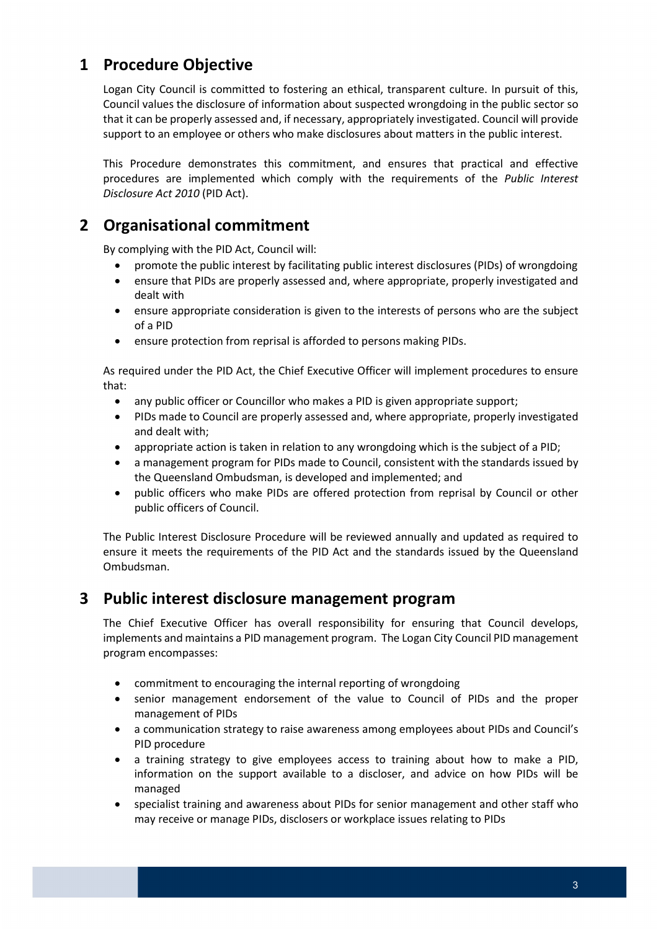# 1 Procedure Objective

 Logan City Council is committed to fostering an ethical, transparent culture. In pursuit of this, Council values the disclosure of information about suspected wrongdoing in the public sector so that it can be properly assessed and, if necessary, appropriately investigated. Council will provide support to an employee or others who make disclosures about matters in the public interest.

 This Procedure demonstrates this commitment, and ensures that practical and effective procedures are implemented which comply with the requirements of the Public Interest Disclosure Act 2010 (PID Act).

# 2 Organisational commitment

By complying with the PID Act, Council will:

- promote the public interest by facilitating public interest disclosures (PIDs) of wrongdoing
- ensure that PIDs are properly assessed and, where appropriate, properly investigated and dealt with
- ensure appropriate consideration is given to the interests of persons who are the subject of a PID
- ensure protection from reprisal is afforded to persons making PIDs.

 As required under the PID Act, the Chief Executive Officer will implement procedures to ensure that:

- any public officer or Councillor who makes a PID is given appropriate support;
- PIDs made to Council are properly assessed and, where appropriate, properly investigated and dealt with;
- appropriate action is taken in relation to any wrongdoing which is the subject of a PID;
- a management program for PIDs made to Council, consistent with the standards issued by the Queensland Ombudsman, is developed and implemented; and
- public officers who make PIDs are offered protection from reprisal by Council or other public officers of Council.

 The Public Interest Disclosure Procedure will be reviewed annually and updated as required to ensure it meets the requirements of the PID Act and the standards issued by the Queensland Ombudsman.

#### 3 Public interest disclosure management program

 The Chief Executive Officer has overall responsibility for ensuring that Council develops, implements and maintains a PID management program. The Logan City Council PID management program encompasses:

- commitment to encouraging the internal reporting of wrongdoing
- senior management endorsement of the value to Council of PIDs and the proper management of PIDs
- a communication strategy to raise awareness among employees about PIDs and Council's PID procedure
- a training strategy to give employees access to training about how to make a PID, information on the support available to a discloser, and advice on how PIDs will be managed
- specialist training and awareness about PIDs for senior management and other staff who may receive or manage PIDs, disclosers or workplace issues relating to PIDs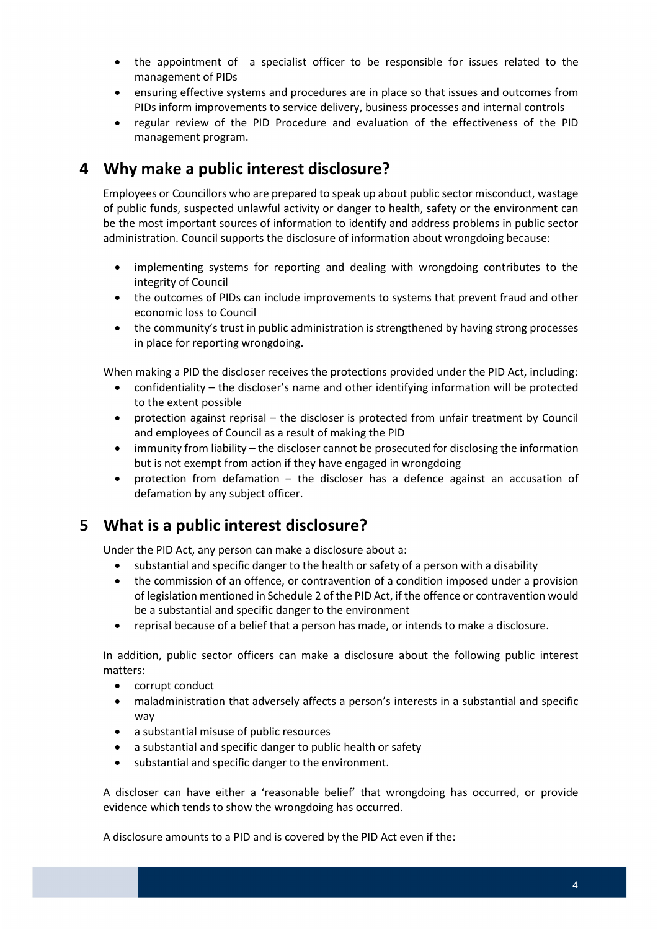- the appointment of a specialist officer to be responsible for issues related to the management of PIDs
- ensuring effective systems and procedures are in place so that issues and outcomes from PIDs inform improvements to service delivery, business processes and internal controls
- regular review of the PID Procedure and evaluation of the effectiveness of the PID management program.

## 4 Why make a public interest disclosure?

 Employees or Councillors who are prepared to speak up about public sector misconduct, wastage of public funds, suspected unlawful activity or danger to health, safety or the environment can be the most important sources of information to identify and address problems in public sector administration. Council supports the disclosure of information about wrongdoing because:

- implementing systems for reporting and dealing with wrongdoing contributes to the integrity of Council
- the outcomes of PIDs can include improvements to systems that prevent fraud and other economic loss to Council
- the community's trust in public administration is strengthened by having strong processes in place for reporting wrongdoing.

When making a PID the discloser receives the protections provided under the PID Act, including:

- confidentiality the discloser's name and other identifying information will be protected to the extent possible
- protection against reprisal the discloser is protected from unfair treatment by Council and employees of Council as a result of making the PID
- immunity from liability the discloser cannot be prosecuted for disclosing the information but is not exempt from action if they have engaged in wrongdoing
- protection from defamation the discloser has a defence against an accusation of defamation by any subject officer.

# 5 What is a public interest disclosure?

Under the PID Act, any person can make a disclosure about a:

- substantial and specific danger to the health or safety of a person with a disability
- the commission of an offence, or contravention of a condition imposed under a provision of legislation mentioned in Schedule 2 of the PID Act, if the offence or contravention would be a substantial and specific danger to the environment
- reprisal because of a belief that a person has made, or intends to make a disclosure.

 In addition, public sector officers can make a disclosure about the following public interest matters:

- corrupt conduct
- maladministration that adversely affects a person's interests in a substantial and specific way
- a substantial misuse of public resources
- a substantial and specific danger to public health or safety
- substantial and specific danger to the environment.

 A discloser can have either a 'reasonable belief' that wrongdoing has occurred, or provide evidence which tends to show the wrongdoing has occurred.

A disclosure amounts to a PID and is covered by the PID Act even if the: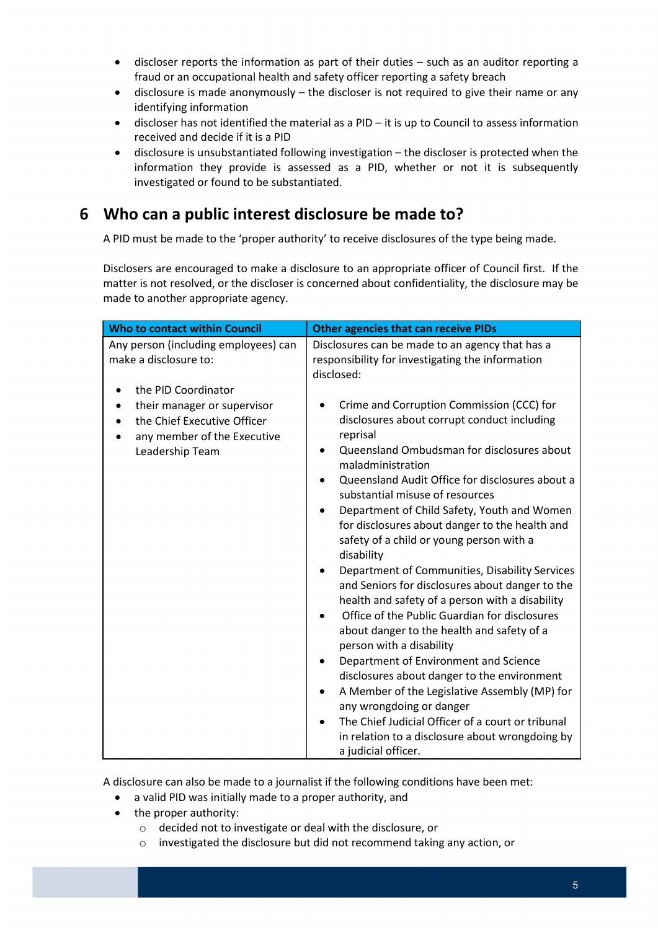- discloser reports the information as part of their duties such as an auditor reporting a fraud or an occupational health and safety officer reporting a safety breach
- disclosure is made anonymously the discloser is not required to give their name or any identifying information
- discloser has not identified the material as a PID it is up to Council to assess information received and decide if it is a PID
- disclosure is unsubstantiated following investigation the discloser is protected when the information they provide is assessed as a PID, whether or not it is subsequently investigated or found to be substantiated.

# 6 Who can a public interest disclosure be made to?

A PID must be made to the 'proper authority' to receive disclosures of the type being made.

 Disclosers are encouraged to make a disclosure to an appropriate officer of Council first. If the matter is not resolved, or the discloser is concerned about confidentiality, the disclosure may be made to another appropriate agency.

| Who to contact within Council                                                                                                       | <b>Other agencies that can receive PIDs</b>                                                                                                                                                                                                                                                                                                                                                                                                                                                                                                                                                                                                                                                                                                                                                                                                                                                                                                                                                                     |  |  |
|-------------------------------------------------------------------------------------------------------------------------------------|-----------------------------------------------------------------------------------------------------------------------------------------------------------------------------------------------------------------------------------------------------------------------------------------------------------------------------------------------------------------------------------------------------------------------------------------------------------------------------------------------------------------------------------------------------------------------------------------------------------------------------------------------------------------------------------------------------------------------------------------------------------------------------------------------------------------------------------------------------------------------------------------------------------------------------------------------------------------------------------------------------------------|--|--|
| Any person (including employees) can<br>make a disclosure to:                                                                       | Disclosures can be made to an agency that has a<br>responsibility for investigating the information<br>disclosed:                                                                                                                                                                                                                                                                                                                                                                                                                                                                                                                                                                                                                                                                                                                                                                                                                                                                                               |  |  |
| the PID Coordinator<br>their manager or supervisor<br>the Chief Executive Officer<br>any member of the Executive<br>Leadership Team | Crime and Corruption Commission (CCC) for<br>disclosures about corrupt conduct including<br>reprisal<br>Queensland Ombudsman for disclosures about<br>maladministration<br>Queensland Audit Office for disclosures about a<br>substantial misuse of resources<br>Department of Child Safety, Youth and Women<br>for disclosures about danger to the health and<br>safety of a child or young person with a<br>disability<br>Department of Communities, Disability Services<br>and Seniors for disclosures about danger to the<br>health and safety of a person with a disability<br>Office of the Public Guardian for disclosures<br>about danger to the health and safety of a<br>person with a disability<br>Department of Environment and Science<br>disclosures about danger to the environment<br>A Member of the Legislative Assembly (MP) for<br>any wrongdoing or danger<br>The Chief Judicial Officer of a court or tribunal<br>in relation to a disclosure about wrongdoing by<br>a judicial officer. |  |  |

A disclosure can also be made to a journalist if the following conditions have been met:

- a valid PID was initially made to a proper authority, and
- the proper authority:
	- $\circ$  decided not to investigate or deal with the disclosure, or
	- $\circ$  investigated the disclosure but did not recommend taking any action, or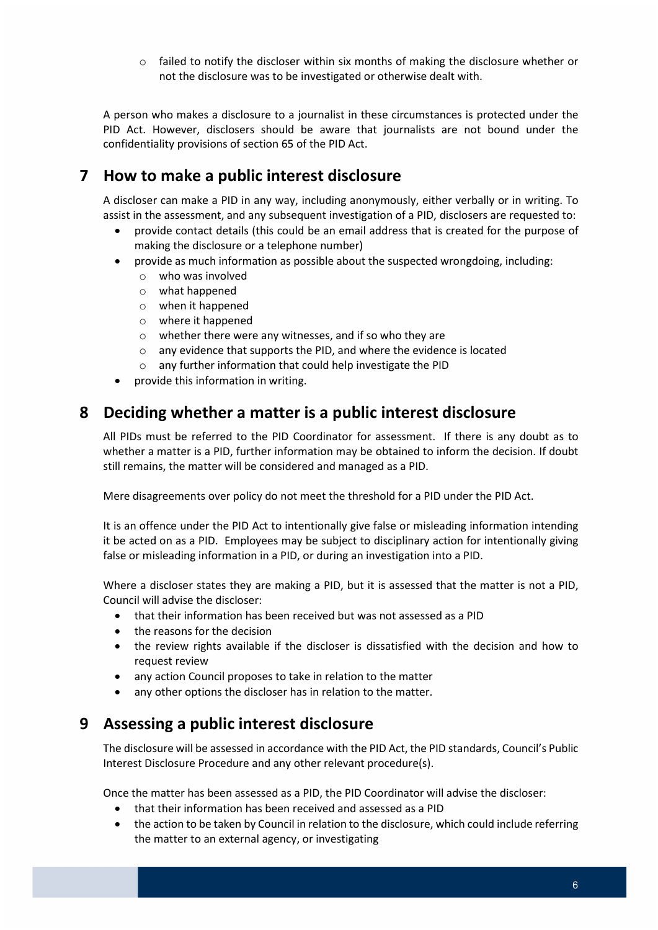$\circ$  failed to notify the discloser within six months of making the disclosure whether or not the disclosure was to be investigated or otherwise dealt with.

 A person who makes a disclosure to a journalist in these circumstances is protected under the PID Act. However, disclosers should be aware that journalists are not bound under the confidentiality provisions of section 65 of the PID Act.

# 7 How to make a public interest disclosure

 A discloser can make a PID in any way, including anonymously, either verbally or in writing. To assist in the assessment, and any subsequent investigation of a PID, disclosers are requested to:

- provide contact details (this could be an email address that is created for the purpose of making the disclosure or a telephone number)
- provide as much information as possible about the suspected wrongdoing, including:
	- o who was involved
	- o what happened
	- o when it happened
	- o where it happened
	- $\circ$  whether there were any witnesses, and if so who they are
	- o any evidence that supports the PID, and where the evidence is located
	- o any further information that could help investigate the PID
- provide this information in writing.

#### 8 Deciding whether a matter is a public interest disclosure

 All PIDs must be referred to the PID Coordinator for assessment. If there is any doubt as to whether a matter is a PID, further information may be obtained to inform the decision. If doubt still remains, the matter will be considered and managed as a PID.

Mere disagreements over policy do not meet the threshold for a PID under the PID Act.

 It is an offence under the PID Act to intentionally give false or misleading information intending it be acted on as a PID. Employees may be subject to disciplinary action for intentionally giving false or misleading information in a PID, or during an investigation into a PID.

 Where a discloser states they are making a PID, but it is assessed that the matter is not a PID, Council will advise the discloser:

- that their information has been received but was not assessed as a PID
- the reasons for the decision
- the review rights available if the discloser is dissatisfied with the decision and how to request review
- any action Council proposes to take in relation to the matter
- any other options the discloser has in relation to the matter.

#### 9 Assessing a public interest disclosure

 The disclosure will be assessed in accordance with the PID Act, the PID standards, Council's Public Interest Disclosure Procedure and any other relevant procedure(s).

Once the matter has been assessed as a PID, the PID Coordinator will advise the discloser:

- that their information has been received and assessed as a PID
- the action to be taken by Council in relation to the disclosure, which could include referring the matter to an external agency, or investigating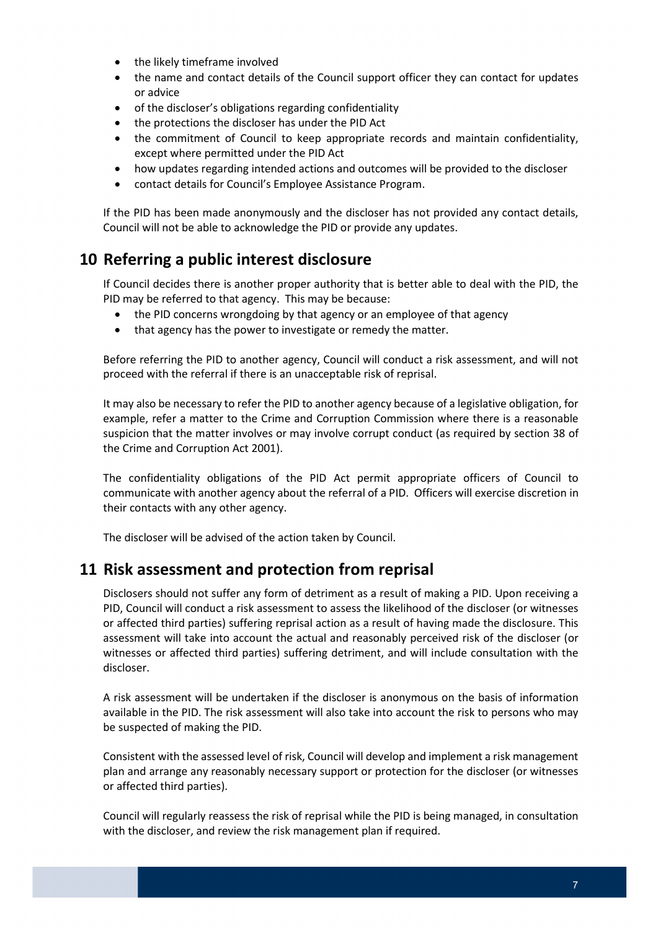- the likely timeframe involved
- the name and contact details of the Council support officer they can contact for updates or advice
- of the discloser's obligations regarding confidentiality
- the protections the discloser has under the PID Act
- the commitment of Council to keep appropriate records and maintain confidentiality, except where permitted under the PID Act
- how updates regarding intended actions and outcomes will be provided to the discloser
- contact details for Council's Employee Assistance Program.

 If the PID has been made anonymously and the discloser has not provided any contact details, Council will not be able to acknowledge the PID or provide any updates.

### 10 Referring a public interest disclosure

 If Council decides there is another proper authority that is better able to deal with the PID, the PID may be referred to that agency. This may be because:

- the PID concerns wrongdoing by that agency or an employee of that agency
- that agency has the power to investigate or remedy the matter.

 Before referring the PID to another agency, Council will conduct a risk assessment, and will not proceed with the referral if there is an unacceptable risk of reprisal.

 It may also be necessary to refer the PID to another agency because of a legislative obligation, for example, refer a matter to the Crime and Corruption Commission where there is a reasonable suspicion that the matter involves or may involve corrupt conduct (as required by section 38 of the Crime and Corruption Act 2001).

 The confidentiality obligations of the PID Act permit appropriate officers of Council to communicate with another agency about the referral of a PID. Officers will exercise discretion in their contacts with any other agency.

The discloser will be advised of the action taken by Council.

#### 11 Risk assessment and protection from reprisal

 Disclosers should not suffer any form of detriment as a result of making a PID. Upon receiving a PID, Council will conduct a risk assessment to assess the likelihood of the discloser (or witnesses or affected third parties) suffering reprisal action as a result of having made the disclosure. This assessment will take into account the actual and reasonably perceived risk of the discloser (or witnesses or affected third parties) suffering detriment, and will include consultation with the discloser.

 A risk assessment will be undertaken if the discloser is anonymous on the basis of information available in the PID. The risk assessment will also take into account the risk to persons who may be suspected of making the PID.

 Consistent with the assessed level of risk, Council will develop and implement a risk management plan and arrange any reasonably necessary support or protection for the discloser (or witnesses or affected third parties).

 Council will regularly reassess the risk of reprisal while the PID is being managed, in consultation with the discloser, and review the risk management plan if required.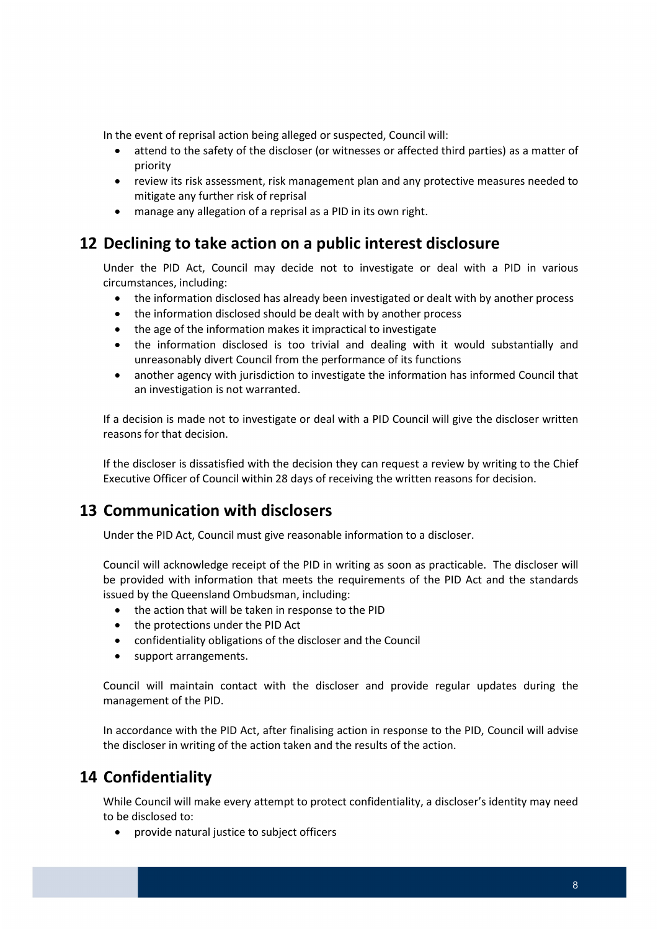In the event of reprisal action being alleged or suspected, Council will:

- attend to the safety of the discloser (or witnesses or affected third parties) as a matter of priority
- review its risk assessment, risk management plan and any protective measures needed to mitigate any further risk of reprisal
- manage any allegation of a reprisal as a PID in its own right.

# 12 Declining to take action on a public interest disclosure

 Under the PID Act, Council may decide not to investigate or deal with a PID in various circumstances, including:

- the information disclosed has already been investigated or dealt with by another process
- the information disclosed should be dealt with by another process
- the age of the information makes it impractical to investigate
- the information disclosed is too trivial and dealing with it would substantially and unreasonably divert Council from the performance of its functions
- another agency with jurisdiction to investigate the information has informed Council that an investigation is not warranted.

 If a decision is made not to investigate or deal with a PID Council will give the discloser written reasons for that decision.

 If the discloser is dissatisfied with the decision they can request a review by writing to the Chief Executive Officer of Council within 28 days of receiving the written reasons for decision.

# 13 Communication with disclosers

Under the PID Act, Council must give reasonable information to a discloser.

 Council will acknowledge receipt of the PID in writing as soon as practicable. The discloser will be provided with information that meets the requirements of the PID Act and the standards issued by the Queensland Ombudsman, including:

- the action that will be taken in response to the PID
- the protections under the PID Act
- confidentiality obligations of the discloser and the Council
- support arrangements.

 Council will maintain contact with the discloser and provide regular updates during the management of the PID.

 In accordance with the PID Act, after finalising action in response to the PID, Council will advise the discloser in writing of the action taken and the results of the action.

# 14 Confidentiality

 While Council will make every attempt to protect confidentiality, a discloser's identity may need to be disclosed to:

provide natural justice to subject officers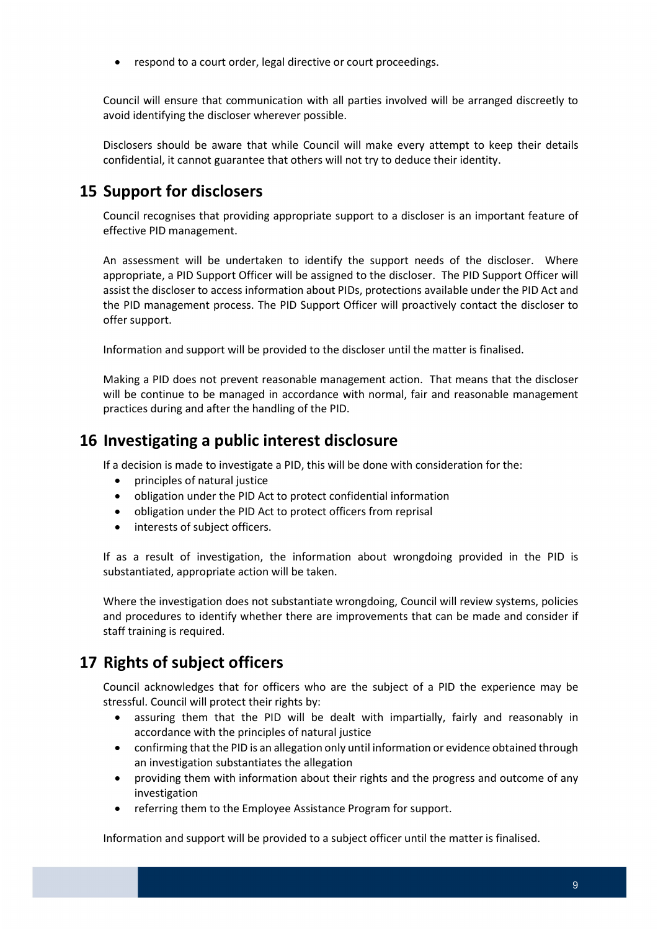respond to a court order, legal directive or court proceedings.

 Council will ensure that communication with all parties involved will be arranged discreetly to avoid identifying the discloser wherever possible.

 Disclosers should be aware that while Council will make every attempt to keep their details confidential, it cannot guarantee that others will not try to deduce their identity.

# 15 Support for disclosers

 Council recognises that providing appropriate support to a discloser is an important feature of effective PID management.

 An assessment will be undertaken to identify the support needs of the discloser. Where appropriate, a PID Support Officer will be assigned to the discloser. The PID Support Officer will assist the discloser to access information about PIDs, protections available under the PID Act and the PID management process. The PID Support Officer will proactively contact the discloser to offer support.

Information and support will be provided to the discloser until the matter is finalised.

 Making a PID does not prevent reasonable management action. That means that the discloser will be continue to be managed in accordance with normal, fair and reasonable management practices during and after the handling of the PID.

### 16 Investigating a public interest disclosure

If a decision is made to investigate a PID, this will be done with consideration for the:

- principles of natural justice
- obligation under the PID Act to protect confidential information
- obligation under the PID Act to protect officers from reprisal
- interests of subject officers.

 If as a result of investigation, the information about wrongdoing provided in the PID is substantiated, appropriate action will be taken.

 Where the investigation does not substantiate wrongdoing, Council will review systems, policies and procedures to identify whether there are improvements that can be made and consider if staff training is required.

# 17 Rights of subject officers

 Council acknowledges that for officers who are the subject of a PID the experience may be stressful. Council will protect their rights by:

- assuring them that the PID will be dealt with impartially, fairly and reasonably in accordance with the principles of natural justice
- confirming that the PID is an allegation only until information or evidence obtained through an investigation substantiates the allegation
- providing them with information about their rights and the progress and outcome of any investigation
- referring them to the Employee Assistance Program for support.

Information and support will be provided to a subject officer until the matter is finalised.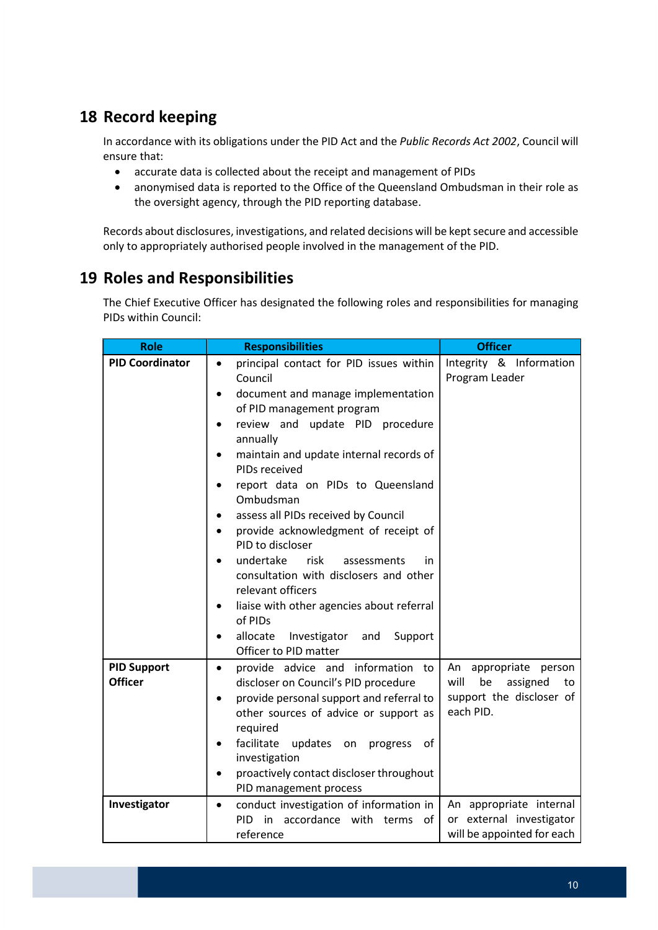# 18 Record keeping

In accordance with its obligations under the PID Act and the Public Records Act 2002, Council will ensure that:

- accurate data is collected about the receipt and management of PIDs
- anonymised data is reported to the Office of the Queensland Ombudsman in their role as the oversight agency, through the PID reporting database.

Records about disclosures, investigations, and related decisions will be kept secure and accessible only to appropriately authorised people involved in the management of the PID.

# 19 Roles and Responsibilities

 The Chief Executive Officer has designated the following roles and responsibilities for managing PIDs within Council:

| <b>Role</b>                          | <b>Responsibilities</b>                                                                                                                                                                                                                                                                                                                                                                                                                                                                                                                                                                                                                    | <b>Officer</b>                                                                                       |
|--------------------------------------|--------------------------------------------------------------------------------------------------------------------------------------------------------------------------------------------------------------------------------------------------------------------------------------------------------------------------------------------------------------------------------------------------------------------------------------------------------------------------------------------------------------------------------------------------------------------------------------------------------------------------------------------|------------------------------------------------------------------------------------------------------|
| <b>PID Coordinator</b>               | principal contact for PID issues within<br>$\bullet$<br>Council<br>document and manage implementation<br>of PID management program<br>review and update PID procedure<br>annually<br>maintain and update internal records of<br>PIDs received<br>report data on PIDs to Queensland<br>Ombudsman<br>assess all PIDs received by Council<br>provide acknowledgment of receipt of<br>PID to discloser<br>undertake<br>risk<br>assessments<br>in<br>consultation with disclosers and other<br>relevant officers<br>liaise with other agencies about referral<br>of PIDs<br>allocate<br>Investigator<br>and<br>Support<br>Officer to PID matter | Integrity & Information<br>Program Leader                                                            |
| <b>PID Support</b><br><b>Officer</b> | provide advice and information to<br>$\bullet$<br>discloser on Council's PID procedure<br>provide personal support and referral to<br>other sources of advice or support as<br>required<br>facilitate<br>updates on<br>progress<br>0f<br>investigation<br>proactively contact discloser throughout<br>PID management process                                                                                                                                                                                                                                                                                                               | appropriate<br>An<br>person<br>will<br>be<br>assigned<br>to<br>support the discloser of<br>each PID. |
| Investigator                         | conduct investigation of information in<br>$\bullet$<br>PID<br>in<br>accordance with terms of<br>reference                                                                                                                                                                                                                                                                                                                                                                                                                                                                                                                                 | An appropriate internal<br>or external investigator<br>will be appointed for each                    |